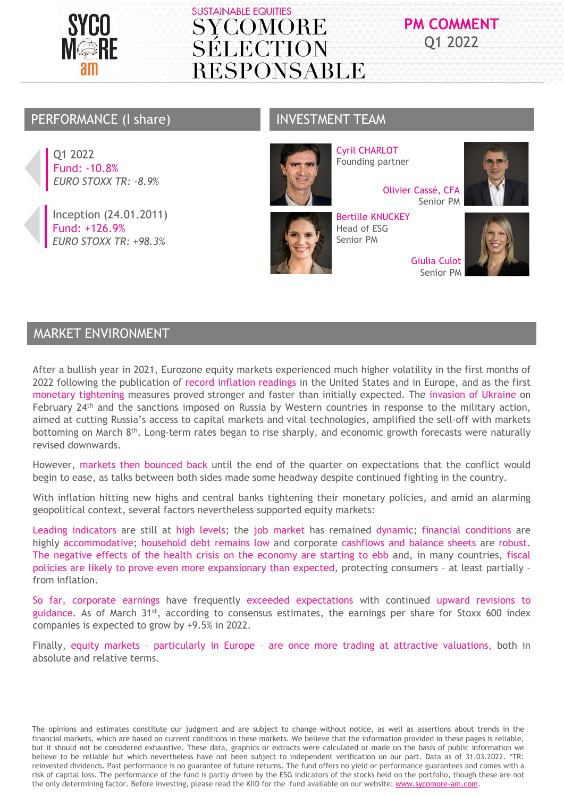

## **PM COMMENT** Q1 2022

### PERFORMANCE (I share) INVESTMENT TEAM

Q1 2022 Fund: -10.8% *EURO STOXX TR: -8.9%* 

Inception (24.01.2011) Fund: +126.9% *EURO STOXX TR: +98.3%* 



Cyril CHARLOT Founding partner

> Olivier Cassé, CFA Senior PM

Bertille KNUCKEY Head of ESG Senior PM

> Giulia Culot Senior PM





## MARKET ENVIRONMENT

After a bullish year in 2021, Eurozone equity markets experienced much higher volatility in the first months of 2022 following the publication of record inflation readings in the United States and in Europe, and as the first monetary tightening measures proved stronger and faster than initially expected. The invasion of Ukraine on February 24<sup>th</sup> and the sanctions imposed on Russia by Western countries in response to the military action, aimed at cutting Russia's access to capital markets and vital technologies, amplified the sell-off with markets bottoming on March 8<sup>th</sup>. Long-term rates began to rise sharply, and economic growth forecasts were naturally revised downwards.

However, markets then bounced back until the end of the quarter on expectations that the conflict would begin to ease, as talks between both sides made some headway despite continued fighting in the country.

With inflation hitting new highs and central banks tightening their monetary policies, and amid an alarming geopolitical context, several factors nevertheless supported equity markets:

Leading indicators are still at high levels; the job market has remained dynamic; financial conditions are highly accommodative; household debt remains low and corporate cashflows and balance sheets are robust. The negative effects of the health crisis on the economy are starting to ebb and, in many countries, fiscal policies are likely to prove even more expansionary than expected, protecting consumers – at least partially – from inflation.

So far, corporate earnings have frequently exceeded expectations with continued upward revisions to guidance. As of March 31<sup>st</sup>, according to consensus estimates, the earnings per share for Stoxx 600 index companies is expected to grow by +9.5% in 2022.

Finally, equity markets – particularly in Europe – are once more trading at attractive valuations, both in absolute and relative terms.

The opinions and estimates constitute our judgment and are subject to change without notice, as well as assertions about trends in the financial markets, which are based on current conditions in these markets. We believe that the information provided in these pages is reliable, but it should not be considered exhaustive. These data, graphics or extracts were calculated or made on the basis of public information we believe to be reliable but which nevertheless have not been subject to independent verification on our part. Data as of 31.03.2022. \*TR: reinvested dividends. Past performance is no guarantee of future returns. The fund offers no yield or performance guarantees and comes with a risk of capital loss. The performance of the fund is partly driven by the ESG indicators of the stocks held on the portfolio, though these are not the only determining factor. Before investing, please read the KIID for the fund available on our website: www.sycomore-am.com.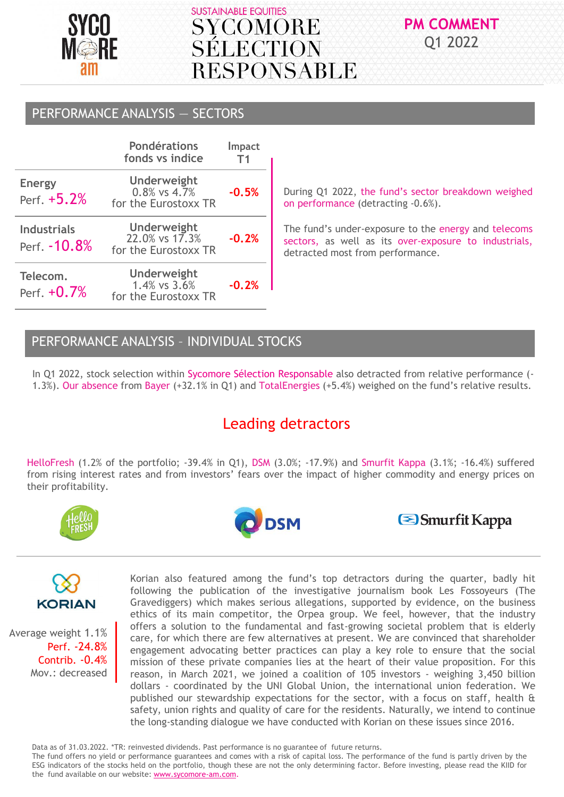

# **PM COMMENT** Q1 2022

## PERFORMANCE ANALYSIS — SECTORS

|                                     | <b>Pondérations</b><br>fonds vs indice                           | <b>Impact</b><br>Τ1 |
|-------------------------------------|------------------------------------------------------------------|---------------------|
| <b>Energy</b><br>Perf. +5.2%        | <b>Underweight</b><br>$0.8\%$ vs $4.7\%$<br>for the Eurostoxx TR | $-0.5%$             |
| <b>Industrials</b><br>Perf. - 10.8% | <b>Underweight</b><br>22.0% vs 17.3%<br>for the Eurostoxx TR     | $-0.2%$             |
| Telecom.<br>Perf. $+0.7%$           | <b>Underweight</b><br>1.4% vs 3.6%<br>for the Eurostoxx TR       | $-0.2%$             |

During Q1 2022, the fund's sector breakdown weighed on performance (detracting -0.6%).

The fund's under-exposure to the energy and telecoms sectors, as well as its over-exposure to industrials, detracted most from performance.

## PERFORMANCE ANALYSIS – INDIVIDUAL STOCKS

In Q1 2022, stock selection within Sycomore Sélection Responsable also detracted from relative performance (- 1.3%). Our absence from Bayer (+32.1% in Q1) and TotalEnergies (+5.4%) weighed on the fund's relative results.

## Leading detractors

HelloFresh (1.2% of the portfolio; -39.4% in Q1), DSM (3.0%; -17.9%) and Smurfit Kappa (3.1%; -16.4%) suffered from rising interest rates and from investors' fears over the impact of higher commodity and energy prices on their profitability.









Average weight 1.1% Perf. -24.8% Contrib. -0.4% Mov.: decreased

Korian also featured among the fund's top detractors during the quarter, badly hit following the publication of the investigative journalism book Les Fossoyeurs (The Gravediggers) which makes serious allegations, supported by evidence, on the business ethics of its main competitor, the Orpea group. We feel, however, that the industry offers a solution to the fundamental and fast-growing societal problem that is elderly care, for which there are few alternatives at present. We are convinced that shareholder engagement advocating better practices can play a key role to ensure that the social mission of these private companies lies at the heart of their value proposition. For this reason, in March 2021, we joined a coalition of 105 investors - weighing 3,450 billion dollars - coordinated by the UNI Global Union, the international union federation. We published our stewardship expectations for the sector, with a focus on staff, health & safety, union rights and quality of care for the residents. Naturally, we intend to continue the long-standing dialogue we have conducted with Korian on these issues since 2016.

Data as of 31.03.2022. \*TR: reinvested dividends. Past performance is no guarantee of future returns.

The fund offers no yield or performance guarantees and comes with a risk of capital loss. The performance of the fund is partly driven by the ESG indicators of the stocks held on the portfolio, though these are not the only determining factor. Before investing, please read the KIID for the fund available on our website: www.sycomore-am.com.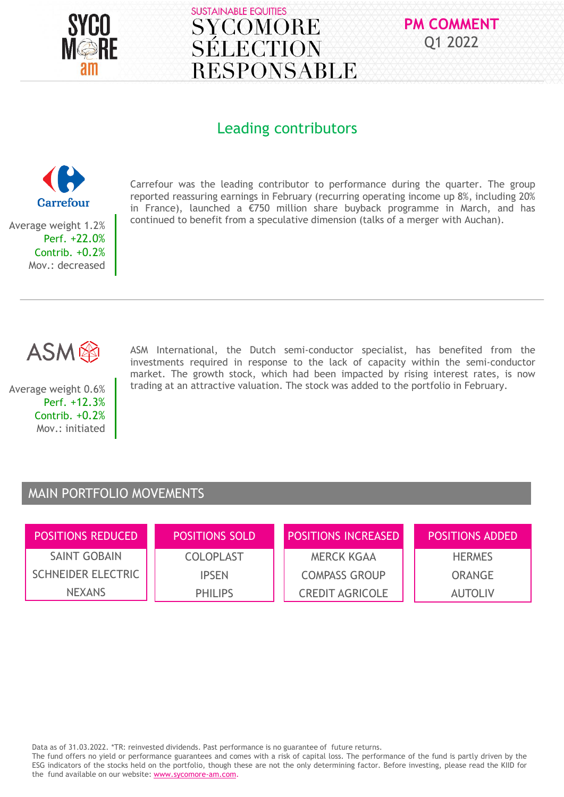



## Leading contributors



Mov.: decreased

Carrefour was the leading contributor to performance during the quarter. The group reported reassuring earnings in February (recurring operating income up 8%, including 20% in France), launched a €750 million share buyback programme in March, and has continued to benefit from a speculative dimension (talks of a merger with Auchan).

ASM

Average weight 0.6% Perf. +12.3% Contrib. +0.2% Mov.: initiated

ASM International, the Dutch semi-conductor specialist, has benefited from the investments required in response to the lack of capacity within the semi-conductor market. The growth stock, which had been impacted by rising interest rates, is now trading at an attractive valuation. The stock was added to the portfolio in February.

### MAIN PORTFOLIO MOVEMENTS

| <b>POSITIONS REDUCED</b>  | <b>POSITIONS SOLD</b> | <b>POSITIONS INCREASED</b> | <b>POSITIONS ADDED</b> |
|---------------------------|-----------------------|----------------------------|------------------------|
| <b>SAINT GOBAIN</b>       | <b>COLOPLAST</b>      | <b>MERCK KGAA</b>          | <b>HERMES</b>          |
| <b>SCHNEIDER ELECTRIC</b> | <b>IPSEN</b>          | <b>COMPASS GROUP</b>       | <b>ORANGE</b>          |
| <b>NEXANS</b>             | <b>PHILIPS</b>        | <b>CREDIT AGRICOLE</b>     | <b>AUTOLIV</b>         |

Data as of 31.03.2022. \*TR: reinvested dividends. Past performance is no guarantee of future returns.

The fund offers no yield or performance guarantees and comes with a risk of capital loss. The performance of the fund is partly driven by the ESG indicators of the stocks held on the portfolio, though these are not the only determining factor. Before investing, please read the KIID for the fund available on our website: www.sycomore-am.com.